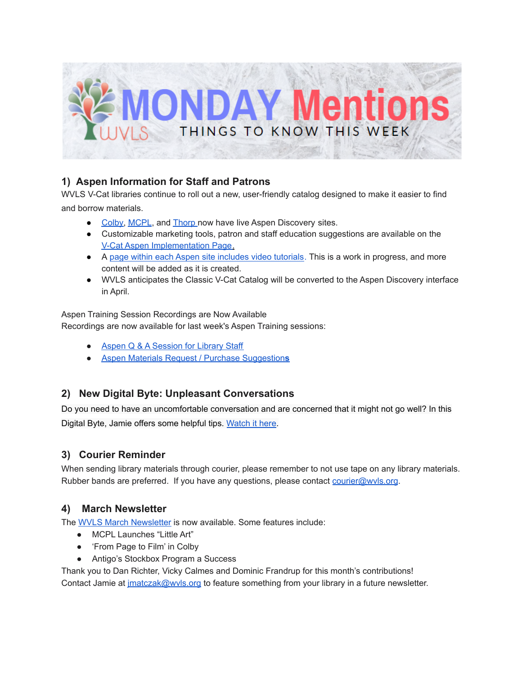

## **1) Aspen Information for Staff and Patrons**

WVLS V-Cat libraries continue to roll out a new, user-friendly catalog designed to make it easier to find and borrow materials.

- [Colby,](https://colby.catalog.wvls.org/) [MCPL](https://mcpl.catalog.wvls.org/), and [Thorp](https://thorp.catalog.wvls.org/) now have live Aspen Discovery sites.
- Customizable marketing tools, patron and staff education suggestions are available on th[e](https://www.wvls.org/v-cat-aspen-implementation/) V-Cat Aspen [Implementation](https://www.wvls.org/v-cat-aspen-implementation/) Page.
- A page within each Aspen site includes video [tutorials.](https://wvls.aspendiscovery.org/Introducing-Aspen) This is a work in progress, and more content will be added as it is created.
- WVLS anticipates the Classic V-Cat Catalog will be converted to the Aspen Discovery interface in April.

Aspen Training Session Recordings are Now Available Recordings are now available for last week's Aspen Training sessions:

- Aspen Q & A [Session](https://transcripts.gotomeeting.com/#/s/9cba882c6fb18eebcf4923dd37ed8c26109311607789c911c1196e2de489be08) for Library Staff
- **●** Aspen Materials Request / Purchase [Suggestion](https://transcripts.gotomeeting.com/#/s/474fd39d53e636453a7b2a29ee39081ee7c029b782b847c8f1213a332ab738b8)**s**

## **2) New Digital Byte: Unpleasant Conversations**

Do you need to have an uncomfortable conversation and are concerned that it might not go well? In this Digital Byte, Jamie offers some helpful tips. [Watch](https://youtu.be/VUgJciJb230) it here.

## **3) Courier Reminder**

When sending library materials through courier, please remember to not use tape on any library materials. Rubber bands are preferred. If you have any questions, please contact courier@wyls.org.

#### **4) March Newsletter**

The WVLS March [Newsletter](https://mailchi.mp/408d00f61bde/wvls-march21-newsletter?fbclid=IwAR339vFpkqq1IFPcd6qGC2etvsBVjmLafdYayKEFh50rRKCOPlBLbSJu9Do) is now available. Some features include:

- MCPL Launches "Little Art"
- 'From Page to Film' in Colby
- Antigo's Stockbox Program a Success

Thank you to Dan Richter, Vicky Calmes and Dominic Frandrup for this month's contributions! Contact Jamie at *[jmatczak@wvls.org](mailto:jmatczak@wvls.org)* to feature something from your library in a future newsletter.